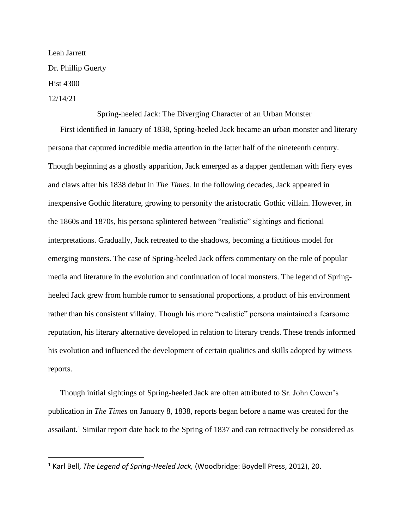Leah Jarrett Dr. Phillip Guerty Hist 4300 12/14/21

Spring-heeled Jack: The Diverging Character of an Urban Monster

First identified in January of 1838, Spring-heeled Jack became an urban monster and literary persona that captured incredible media attention in the latter half of the nineteenth century. Though beginning as a ghostly apparition, Jack emerged as a dapper gentleman with fiery eyes and claws after his 1838 debut in *The Times*. In the following decades, Jack appeared in inexpensive Gothic literature, growing to personify the aristocratic Gothic villain. However, in the 1860s and 1870s, his persona splintered between "realistic" sightings and fictional interpretations. Gradually, Jack retreated to the shadows, becoming a fictitious model for emerging monsters. The case of Spring-heeled Jack offers commentary on the role of popular media and literature in the evolution and continuation of local monsters. The legend of Springheeled Jack grew from humble rumor to sensational proportions, a product of his environment rather than his consistent villainy. Though his more "realistic" persona maintained a fearsome reputation, his literary alternative developed in relation to literary trends. These trends informed his evolution and influenced the development of certain qualities and skills adopted by witness reports.

Though initial sightings of Spring-heeled Jack are often attributed to Sr. John Cowen's publication in *The Times* on January 8, 1838, reports began before a name was created for the assailant.<sup>1</sup> Similar report date back to the Spring of 1837 and can retroactively be considered as

<sup>1</sup> Karl Bell, *The Legend of Spring-Heeled Jack,* (Woodbridge: Boydell Press, 2012), 20.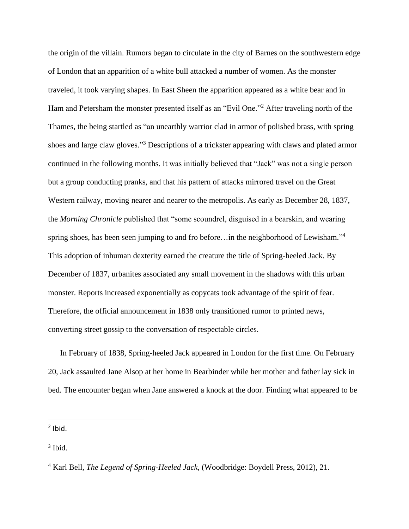the origin of the villain. Rumors began to circulate in the city of Barnes on the southwestern edge of London that an apparition of a white bull attacked a number of women. As the monster traveled, it took varying shapes. In East Sheen the apparition appeared as a white bear and in Ham and Petersham the monster presented itself as an "Evil One."<sup>2</sup> After traveling north of the Thames, the being startled as "an unearthly warrior clad in armor of polished brass, with spring shoes and large claw gloves."<sup>3</sup> Descriptions of a trickster appearing with claws and plated armor continued in the following months. It was initially believed that "Jack" was not a single person but a group conducting pranks, and that his pattern of attacks mirrored travel on the Great Western railway, moving nearer and nearer to the metropolis. As early as December 28, 1837, the *Morning Chronicle* published that "some scoundrel, disguised in a bearskin, and wearing spring shoes, has been seen jumping to and fro before...in the neighborhood of Lewisham."<sup>4</sup> This adoption of inhuman dexterity earned the creature the title of Spring-heeled Jack. By December of 1837, urbanites associated any small movement in the shadows with this urban monster. Reports increased exponentially as copycats took advantage of the spirit of fear. Therefore, the official announcement in 1838 only transitioned rumor to printed news, converting street gossip to the conversation of respectable circles.

In February of 1838, Spring-heeled Jack appeared in London for the first time. On February 20, Jack assaulted Jane Alsop at her home in Bearbinder while her mother and father lay sick in bed. The encounter began when Jane answered a knock at the door. Finding what appeared to be

 $<sup>2</sup>$  Ibid.</sup>

3 Ibid.

<sup>4</sup> Karl Bell, *The Legend of Spring-Heeled Jack,* (Woodbridge: Boydell Press, 2012), 21.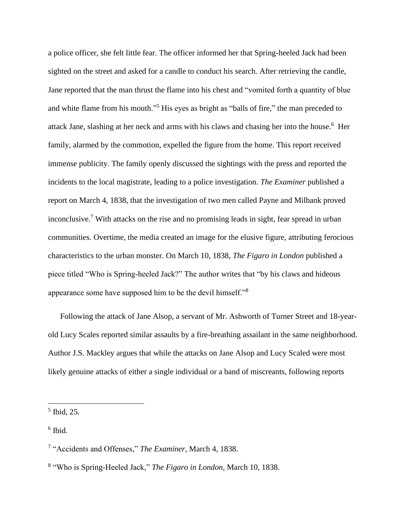a police officer, she felt little fear. The officer informed her that Spring-heeled Jack had been sighted on the street and asked for a candle to conduct his search. After retrieving the candle, Jane reported that the man thrust the flame into his chest and "vomited forth a quantity of blue and white flame from his mouth."<sup>5</sup> His eyes as bright as "balls of fire," the man preceded to attack Jane, slashing at her neck and arms with his claws and chasing her into the house.<sup>6</sup> Her family, alarmed by the commotion, expelled the figure from the home. This report received immense publicity. The family openly discussed the sightings with the press and reported the incidents to the local magistrate, leading to a police investigation. *The Examiner* published a report on March 4, 1838, that the investigation of two men called Payne and Milbank proved inconclusive.<sup>7</sup> With attacks on the rise and no promising leads in sight, fear spread in urban communities. Overtime, the media created an image for the elusive figure, attributing ferocious characteristics to the urban monster. On March 10, 1838, *The Figaro in London* published a piece titled "Who is Spring-heeled Jack?" The author writes that "by his claws and hideous appearance some have supposed him to be the devil himself."<sup>8</sup>

Following the attack of Jane Alsop, a servant of Mr. Ashworth of Turner Street and 18-yearold Lucy Scales reported similar assaults by a fire-breathing assailant in the same neighborhood. Author J.S. Mackley argues that while the attacks on Jane Alsop and Lucy Scaled were most likely genuine attacks of either a single individual or a band of miscreants, following reports

<sup>5</sup> Ibid, 25.

<sup>6</sup> Ibid.

<sup>7</sup> "Accidents and Offenses," *The Examiner*, March 4, 1838.

<sup>8</sup> "Who is Spring-Heeled Jack," *The Figaro in London,* March 10, 1838.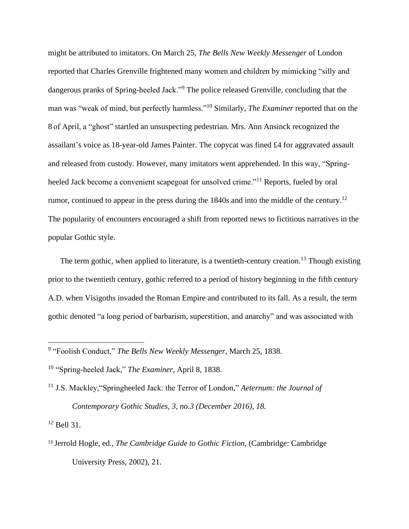might be attributed to imitators. On March 25, *The Bells New Weekly Messenger* of London reported that Charles Grenville frightened many women and children by mimicking "silly and dangerous pranks of Spring-heeled Jack."<sup>9</sup> The police released Grenville, concluding that the man was "weak of mind, but perfectly harmless."<sup>10</sup> Similarly, *The Examiner* reported that on the 8 of April, a "ghost" startled an unsuspecting pedestrian. Mrs. Ann Ansinck recognized the assailant's voice as 18-year-old James Painter. The copycat was fined £4 for aggravated assault and released from custody. However, many imitators went apprehended. In this way, "Springheeled Jack become a convenient scapegoat for unsolved crime."<sup>11</sup> Reports, fueled by oral rumor, continued to appear in the press during the 1840s and into the middle of the century.<sup>12</sup> The popularity of encounters encouraged a shift from reported news to fictitious narratives in the popular Gothic style.

The term gothic, when applied to literature, is a twentieth-century creation.<sup>13</sup> Though existing prior to the twentieth century, gothic referred to a period of history beginning in the fifth century A.D. when Visigoths invaded the Roman Empire and contributed to its fall. As a result, the term gothic denoted "a long period of barbarism, superstition, and anarchy" and was associated with

 $12$  Bell 31.

<sup>9</sup> "Foolish Conduct," *The Bells New Weekly Messenger*, March 25, 1838.

<sup>10</sup> "Spring-heeled Jack," *The Examiner*, April 8, 1838.

<sup>11</sup> J.S. Mackley,"Springheeled Jack: the Terror of London," *Aeternum: the Journal of Contemporary Gothic Studies, 3, no.3 (December 2016), 18.* 

<sup>13</sup> Jerrold Hogle, ed., *The Cambridge Guide to Gothic Fiction*, (Cambridge: Cambridge University Press, 2002), 21.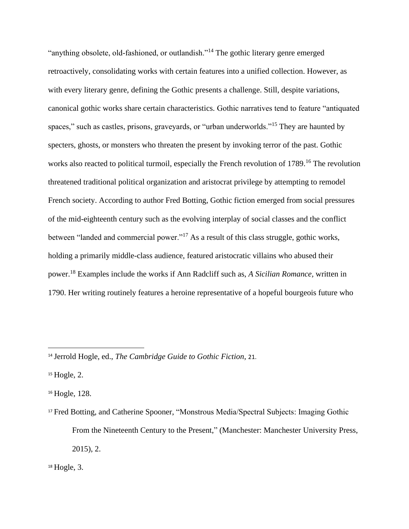"anything obsolete, old-fashioned, or outlandish."<sup>14</sup> The gothic literary genre emerged retroactively, consolidating works with certain features into a unified collection. However, as with every literary genre, defining the Gothic presents a challenge. Still, despite variations, canonical gothic works share certain characteristics. Gothic narratives tend to feature "antiquated spaces," such as castles, prisons, graveyards, or "urban underworlds."<sup>15</sup> They are haunted by specters, ghosts, or monsters who threaten the present by invoking terror of the past. Gothic works also reacted to political turmoil, especially the French revolution of 1789.<sup>16</sup> The revolution threatened traditional political organization and aristocrat privilege by attempting to remodel French society. According to author Fred Botting, Gothic fiction emerged from social pressures of the mid-eighteenth century such as the evolving interplay of social classes and the conflict between "landed and commercial power."<sup>17</sup> As a result of this class struggle, gothic works, holding a primarily middle-class audience, featured aristocratic villains who abused their power.<sup>18</sup> Examples include the works if Ann Radcliff such as, *A Sicilian Romance,* written in 1790. Her writing routinely features a heroine representative of a hopeful bourgeois future who

<sup>14</sup> Jerrold Hogle, ed., *The Cambridge Guide to Gothic Fiction*, 21.

 $15$  Hogle, 2.

<sup>16</sup> Hogle, 128.

<sup>17</sup> Fred Botting, and Catherine Spooner, "Monstrous Media/Spectral Subjects: Imaging Gothic From the Nineteenth Century to the Present," (Manchester: Manchester University Press, 2015), 2.

 $18$  Hogle, 3.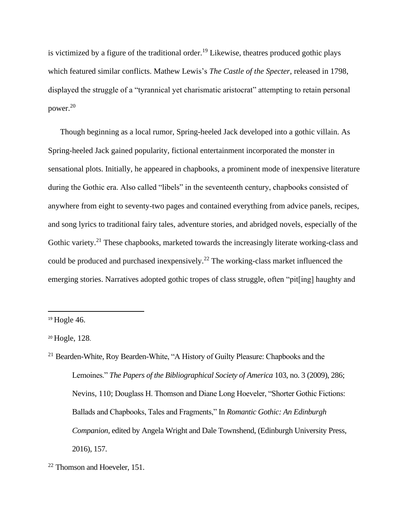is victimized by a figure of the traditional order.<sup>19</sup> Likewise, theatres produced gothic plays which featured similar conflicts. Mathew Lewis's *The Castle of the Specter*, released in 1798, displayed the struggle of a "tyrannical yet charismatic aristocrat" attempting to retain personal power.<sup>20</sup>

Though beginning as a local rumor, Spring-heeled Jack developed into a gothic villain. As Spring-heeled Jack gained popularity, fictional entertainment incorporated the monster in sensational plots. Initially, he appeared in chapbooks, a prominent mode of inexpensive literature during the Gothic era. Also called "libels" in the seventeenth century, chapbooks consisted of anywhere from eight to seventy-two pages and contained everything from advice panels, recipes, and song lyrics to traditional fairy tales, adventure stories, and abridged novels, especially of the Gothic variety.<sup>21</sup> These chapbooks, marketed towards the increasingly literate working-class and could be produced and purchased inexpensively.<sup>22</sup> The working-class market influenced the emerging stories. Narratives adopted gothic tropes of class struggle, often "pit[ing] haughty and

 $19$  Hogle 46.

<sup>20</sup> Hogle, 128.

<sup>&</sup>lt;sup>21</sup> Bearden-White, Roy Bearden-White, "A History of Guilty Pleasure: Chapbooks and the Lemoines." *The Papers of the Bibliographical Society of America* 103, no. 3 (2009), 286; Nevins, 110; Douglass H. Thomson and Diane Long Hoeveler, "Shorter Gothic Fictions: Ballads and Chapbooks, Tales and Fragments," In *Romantic Gothic: An Edinburgh Companion*, edited by Angela Wright and Dale Townshend, (Edinburgh University Press, 2016), 157.

<sup>22</sup> Thomson and Hoeveler, 151.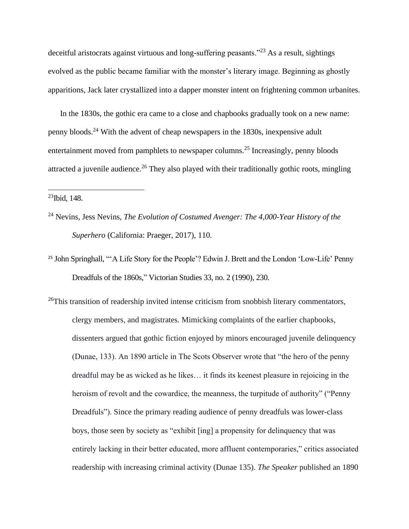deceitful aristocrats against virtuous and long-suffering peasants."<sup>23</sup> As a result, sightings evolved as the public became familiar with the monster's literary image. Beginning as ghostly apparitions, Jack later crystallized into a dapper monster intent on frightening common urbanites.

In the 1830s, the gothic era came to a close and chapbooks gradually took on a new name: penny bloods.<sup>24</sup> With the advent of cheap newspapers in the 1830s, inexpensive adult entertainment moved from pamphlets to newspaper columns.<sup>25</sup> Increasingly, penny bloods attracted a juvenile audience.<sup>26</sup> They also played with their traditionally gothic roots, mingling

 $23$ Ibid, 148.

- <sup>24</sup> Nevins, Jess Nevins, *The Evolution of Costumed Avenger: The 4,000-Year History of the Superhero* (California: Praeger, 2017), 110.
- <sup>25</sup> John Springhall, "'A Life Story for the People'? Edwin J. Brett and the London 'Low-Life' Penny Dreadfuls of the 1860s," Victorian Studies 33, no. 2 (1990), 230.
- <sup>26</sup>This transition of readership invited intense criticism from snobbish literary commentators, clergy members, and magistrates. Mimicking complaints of the earlier chapbooks, dissenters argued that gothic fiction enjoyed by minors encouraged juvenile delinquency (Dunae, 133). An 1890 article in The Scots Observer wrote that "the hero of the penny dreadful may be as wicked as he likes… it finds its keenest pleasure in rejoicing in the heroism of revolt and the cowardice, the meanness, the turpitude of authority" ("Penny Dreadfuls"). Since the primary reading audience of penny dreadfuls was lower-class boys, those seen by society as "exhibit [ing] a propensity for delinquency that was entirely lacking in their better educated, more affluent contemporaries," critics associated readership with increasing criminal activity (Dunae 135). *The Speaker* published an 1890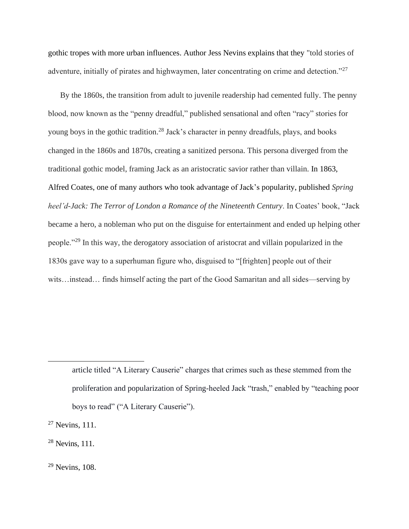gothic tropes with more urban influences. Author Jess Nevins explains that they "told stories of adventure, initially of pirates and highwaymen, later concentrating on crime and detection."<sup>27</sup>

By the 1860s, the transition from adult to juvenile readership had cemented fully. The penny blood, now known as the "penny dreadful," published sensational and often "racy" stories for young boys in the gothic tradition.<sup>28</sup> Jack's character in penny dreadfuls, plays, and books changed in the 1860s and 1870s, creating a sanitized persona. This persona diverged from the traditional gothic model, framing Jack as an aristocratic savior rather than villain. In 1863, Alfred Coates, one of many authors who took advantage of Jack's popularity, published *Spring heel'd-Jack: The Terror of London a Romance of the Nineteenth Century*. In Coates' book, "Jack became a hero, a nobleman who put on the disguise for entertainment and ended up helping other people."<sup>29</sup> In this way, the derogatory association of aristocrat and villain popularized in the 1830s gave way to a superhuman figure who, disguised to "[frighten] people out of their wits…instead… finds himself acting the part of the Good Samaritan and all sides—serving by

article titled "A Literary Causerie" charges that crimes such as these stemmed from the proliferation and popularization of Spring-heeled Jack "trash," enabled by "teaching poor boys to read" ("A Literary Causerie").

 $27$  Nevins, 111.

 $28$  Nevins, 111.

<sup>29</sup> Nevins, 108.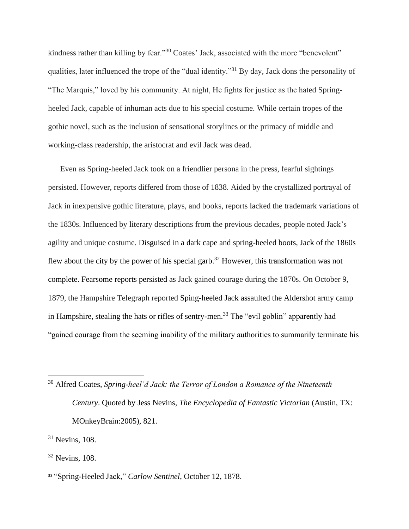kindness rather than killing by fear."<sup>30</sup> Coates' Jack, associated with the more "benevolent" qualities, later influenced the trope of the "dual identity."<sup>31</sup> By day, Jack dons the personality of "The Marquis," loved by his community. At night, He fights for justice as the hated Springheeled Jack, capable of inhuman acts due to his special costume. While certain tropes of the gothic novel, such as the inclusion of sensational storylines or the primacy of middle and working-class readership, the aristocrat and evil Jack was dead.

Even as Spring-heeled Jack took on a friendlier persona in the press, fearful sightings persisted. However, reports differed from those of 1838. Aided by the crystallized portrayal of Jack in inexpensive gothic literature, plays, and books, reports lacked the trademark variations of the 1830s. Influenced by literary descriptions from the previous decades, people noted Jack's agility and unique costume. Disguised in a dark cape and spring-heeled boots, Jack of the 1860s flew about the city by the power of his special garb.<sup>32</sup> However, this transformation was not complete. Fearsome reports persisted as Jack gained courage during the 1870s. On October 9, 1879, the Hampshire Telegraph reported Sping-heeled Jack assaulted the Aldershot army camp in Hampshire, stealing the hats or rifles of sentry-men.<sup>33</sup> The "evil goblin" apparently had "gained courage from the seeming inability of the military authorities to summarily terminate his

<sup>30</sup> Alfred Coates, *Spring-heel'd Jack: the Terror of London a Romance of the Nineteenth Century*. Quoted by Jess Nevins, *The Encyclopedia of Fantastic Victorian* (Austin, TX: MOnkeyBrain:2005), 821.

<sup>32</sup> Nevins, 108.

<sup>&</sup>lt;sup>31</sup> Nevins, 108.

<sup>33</sup> "Spring-Heeled Jack," *Carlow Sentinel*, October 12, 1878.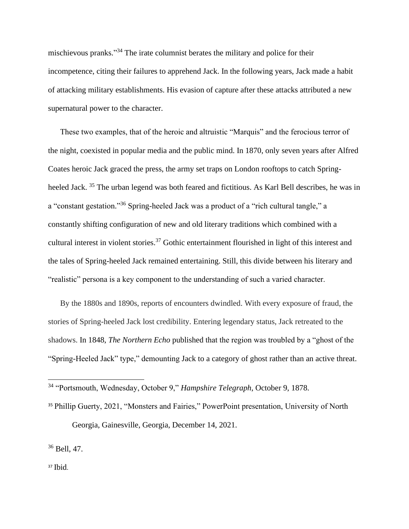mischievous pranks." <sup>34</sup> The irate columnist berates the military and police for their incompetence, citing their failures to apprehend Jack. In the following years, Jack made a habit of attacking military establishments. His evasion of capture after these attacks attributed a new supernatural power to the character.

These two examples, that of the heroic and altruistic "Marquis" and the ferocious terror of the night, coexisted in popular media and the public mind. In 1870, only seven years after Alfred Coates heroic Jack graced the press, the army set traps on London rooftops to catch Springheeled Jack. <sup>35</sup> The urban legend was both feared and fictitious. As Karl Bell describes, he was in a "constant gestation."<sup>36</sup> Spring-heeled Jack was a product of a "rich cultural tangle," a constantly shifting configuration of new and old literary traditions which combined with a cultural interest in violent stories.<sup>37</sup> Gothic entertainment flourished in light of this interest and the tales of Spring-heeled Jack remained entertaining. Still, this divide between his literary and "realistic" persona is a key component to the understanding of such a varied character.

By the 1880s and 1890s, reports of encounters dwindled. With every exposure of fraud, the stories of Spring-heeled Jack lost credibility. Entering legendary status, Jack retreated to the shadows. In 1848, *The Northern Echo* published that the region was troubled by a "ghost of the "Spring-Heeled Jack" type," demounting Jack to a category of ghost rather than an active threat.

<sup>35</sup> Phillip Guerty, 2021, "Monsters and Fairies," PowerPoint presentation, University of North Georgia, Gainesville, Georgia, December 14, 2021.

<sup>36</sup> Bell, 47.

<sup>37</sup> Ibid.

<sup>34</sup> "Portsmouth, Wednesday, October 9," *Hampshire Telegraph*, October 9, 1878.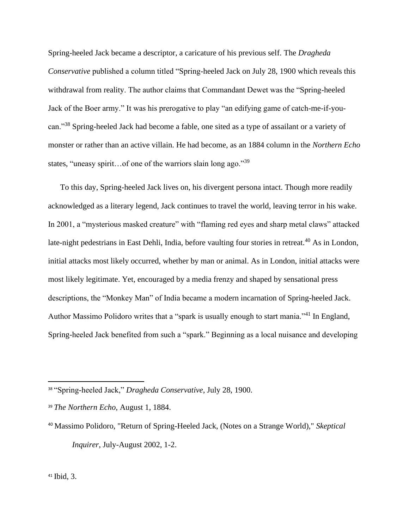Spring-heeled Jack became a descriptor, a caricature of his previous self. The *Dragheda Conservative* published a column titled "Spring-heeled Jack on July 28, 1900 which reveals this withdrawal from reality. The author claims that Commandant Dewet was the "Spring-heeled Jack of the Boer army." It was his prerogative to play "an edifying game of catch-me-if-youcan."<sup>38</sup> Spring-heeled Jack had become a fable, one sited as a type of assailant or a variety of monster or rather than an active villain. He had become, as an 1884 column in the *Northern Echo* states, "uneasy spirit…of one of the warriors slain long ago."<sup>39</sup>

To this day, Spring-heeled Jack lives on, his divergent persona intact. Though more readily acknowledged as a literary legend, Jack continues to travel the world, leaving terror in his wake. In 2001, a "mysterious masked creature" with "flaming red eyes and sharp metal claws" attacked late-night pedestrians in East Dehli, India, before vaulting four stories in retreat.<sup>40</sup> As in London, initial attacks most likely occurred, whether by man or animal. As in London, initial attacks were most likely legitimate. Yet, encouraged by a media frenzy and shaped by sensational press descriptions, the "Monkey Man" of India became a modern incarnation of Spring-heeled Jack. Author Massimo Polidoro writes that a "spark is usually enough to start mania."<sup>41</sup> In England, Spring-heeled Jack benefited from such a "spark." Beginning as a local nuisance and developing

<sup>38</sup> "Spring-heeled Jack," *Dragheda Conservative*, July 28, 1900.

<sup>39</sup> *The Northern Echo*, August 1, 1884.

<sup>40</sup> Massimo Polidoro, "Return of Spring-Heeled Jack, (Notes on a Strange World)," *Skeptical Inquirer*, July-August 2002, 1-2.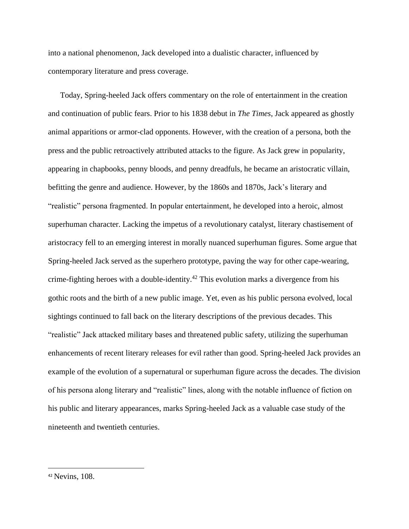into a national phenomenon, Jack developed into a dualistic character, influenced by contemporary literature and press coverage.

Today, Spring-heeled Jack offers commentary on the role of entertainment in the creation and continuation of public fears. Prior to his 1838 debut in *The Times*, Jack appeared as ghostly animal apparitions or armor-clad opponents. However, with the creation of a persona, both the press and the public retroactively attributed attacks to the figure. As Jack grew in popularity, appearing in chapbooks, penny bloods, and penny dreadfuls, he became an aristocratic villain, befitting the genre and audience. However, by the 1860s and 1870s, Jack's literary and "realistic" persona fragmented. In popular entertainment, he developed into a heroic, almost superhuman character. Lacking the impetus of a revolutionary catalyst, literary chastisement of aristocracy fell to an emerging interest in morally nuanced superhuman figures. Some argue that Spring-heeled Jack served as the superhero prototype, paving the way for other cape-wearing, crime-fighting heroes with a double-identity.<sup>42</sup> This evolution marks a divergence from his gothic roots and the birth of a new public image. Yet, even as his public persona evolved, local sightings continued to fall back on the literary descriptions of the previous decades. This "realistic" Jack attacked military bases and threatened public safety, utilizing the superhuman enhancements of recent literary releases for evil rather than good. Spring-heeled Jack provides an example of the evolution of a supernatural or superhuman figure across the decades. The division of his persona along literary and "realistic" lines, along with the notable influence of fiction on his public and literary appearances, marks Spring-heeled Jack as a valuable case study of the nineteenth and twentieth centuries.

<sup>42</sup> Nevins, 108.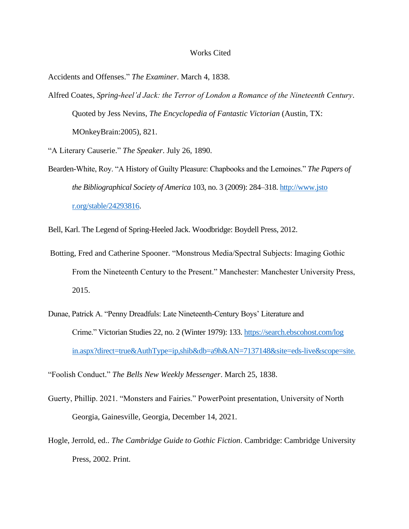## Works Cited

Accidents and Offenses." *The Examiner*. March 4, 1838.

Alfred Coates, *Spring-heel'd Jack: the Terror of London a Romance of the Nineteenth Century*. Quoted by Jess Nevins, *The Encyclopedia of Fantastic Victorian* (Austin, TX: MOnkeyBrain:2005), 821.

"A Literary Causerie." *The Speaker*. July 26, 1890.

Bearden-White, Roy. "A History of Guilty Pleasure: Chapbooks and the Lemoines." *The Papers of the Bibliographical Society of America* 103, no. 3 (2009): 284–318. http://www.jsto r.org/stable/24293816.

Bell, Karl. The Legend of Spring-Heeled Jack. Woodbridge: Boydell Press, 2012.

- Botting, Fred and Catherine Spooner. "Monstrous Media/Spectral Subjects: Imaging Gothic From the Nineteenth Century to the Present." Manchester: Manchester University Press, 2015.
- Dunae, Patrick A. "Penny Dreadfuls: Late Nineteenth-Century Boys' Literature and Crime." Victorian Studies 22, no. 2 (Winter 1979): 133[. https://search.ebscohost.com/log](https://search.ebscohost.com/log%20in.aspx?direct=true&AuthType=ip,shib&db=a9h&AN=7137148&site=eds-live&scope=site.)  [in.aspx?direct=true&AuthType=ip,shib&db=a9h&AN=7137148&site=eds-live&scope=site.](https://search.ebscohost.com/log%20in.aspx?direct=true&AuthType=ip,shib&db=a9h&AN=7137148&site=eds-live&scope=site.)

"Foolish Conduct." *The Bells New Weekly Messenger*. March 25, 1838.

- Guerty, Phillip. 2021. "Monsters and Fairies." PowerPoint presentation, University of North Georgia, Gainesville, Georgia, December 14, 2021.
- Hogle, Jerrold, ed.. *The Cambridge Guide to Gothic Fiction*. Cambridge: Cambridge University Press, 2002. Print.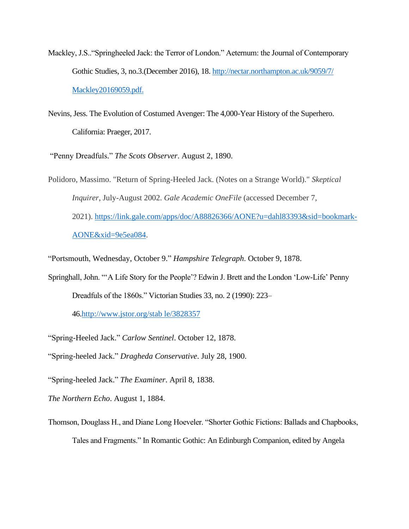- Mackley, J.S.."Springheeled Jack: the Terror of London." Aeternum: the Journal of Contemporary Gothic Studies, 3, no.3.(December 2016), 18. [http://nectar.northampton.ac.uk/9059/7/](http://nectar.northampton.ac.uk/9059/7/%20Mackley20169059.pdf.)  [Mackley20169059.pdf.](http://nectar.northampton.ac.uk/9059/7/%20Mackley20169059.pdf.)
- Nevins, Jess. The Evolution of Costumed Avenger: The 4,000-Year History of the Superhero. California: Praeger, 2017.

"Penny Dreadfuls." *The Scots Observer*. August 2, 1890.

Polidoro, Massimo. "Return of Spring-Heeled Jack. (Notes on a Strange World)." *Skeptical Inquirer*, July-August 2002. *Gale Academic OneFile* (accessed December 7, 2021). [https://link.gale.com/apps/doc/A88826366/AONE?u=dahl83393&sid=bookmark-](https://link.gale.com/apps/doc/A88826366/AONE?u=dahl83393&sid=bookmark-AONE&xid=9e5ea084)[AONE&xid=9e5ea084.](https://link.gale.com/apps/doc/A88826366/AONE?u=dahl83393&sid=bookmark-AONE&xid=9e5ea084)

"Portsmouth, Wednesday, October 9." *Hampshire Telegraph*. October 9, 1878.

Springhall, John. "'A Life Story for the People'? Edwin J. Brett and the London 'Low-Life' Penny Dreadfuls of the 1860s." Victorian Studies 33, no. 2 (1990): 223–

46[.http://www.jstor.org/stab le/3828357](http://www.jstor.org/stab%20le/3828357)

"Spring-Heeled Jack." *Carlow Sentinel*. October 12, 1878.

"Spring-heeled Jack." *Dragheda Conservative*. July 28, 1900.

"Spring-heeled Jack." *The Examiner*. April 8, 1838.

*The Northern Echo*. August 1, 1884.

Thomson, Douglass H., and Diane Long Hoeveler. "Shorter Gothic Fictions: Ballads and Chapbooks, Tales and Fragments." In Romantic Gothic: An Edinburgh Companion, edited by Angela